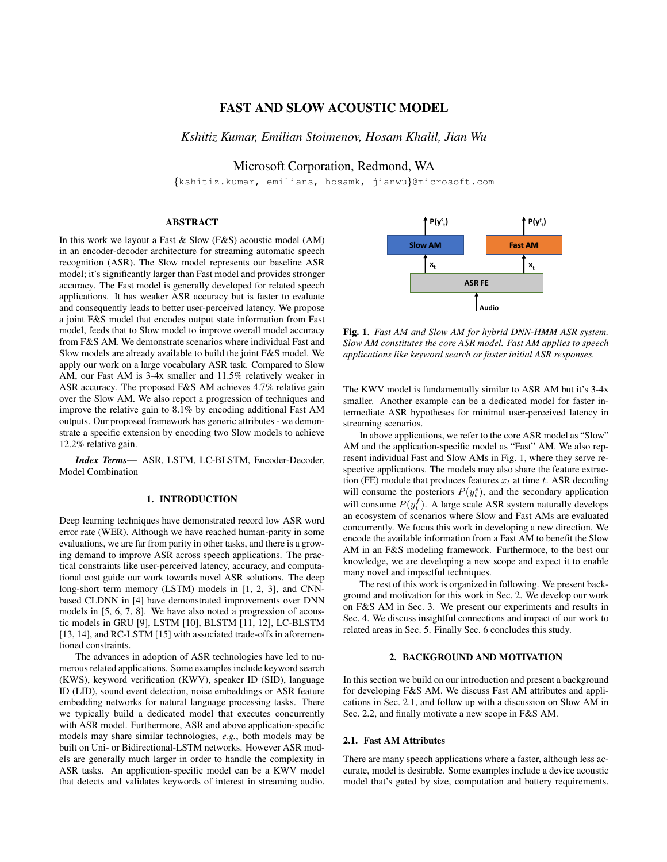# FAST AND SLOW ACOUSTIC MODEL

*Kshitiz Kumar, Emilian Stoimenov, Hosam Khalil, Jian Wu*

Microsoft Corporation, Redmond, WA

{kshitiz.kumar, emilians, hosamk, jianwu}@microsoft.com

## ABSTRACT

In this work we layout a Fast & Slow (F&S) acoustic model (AM) in an encoder-decoder architecture for streaming automatic speech recognition (ASR). The Slow model represents our baseline ASR model; it's significantly larger than Fast model and provides stronger accuracy. The Fast model is generally developed for related speech applications. It has weaker ASR accuracy but is faster to evaluate and consequently leads to better user-perceived latency. We propose a joint F&S model that encodes output state information from Fast model, feeds that to Slow model to improve overall model accuracy from F&S AM. We demonstrate scenarios where individual Fast and Slow models are already available to build the joint F&S model. We apply our work on a large vocabulary ASR task. Compared to Slow AM, our Fast AM is 3-4x smaller and 11.5% relatively weaker in ASR accuracy. The proposed F&S AM achieves 4.7% relative gain over the Slow AM. We also report a progression of techniques and improve the relative gain to 8.1% by encoding additional Fast AM outputs. Our proposed framework has generic attributes - we demonstrate a specific extension by encoding two Slow models to achieve 12.2% relative gain.

*Index Terms*— ASR, LSTM, LC-BLSTM, Encoder-Decoder, Model Combination

## 1. INTRODUCTION

Deep learning techniques have demonstrated record low ASR word error rate (WER). Although we have reached human-parity in some evaluations, we are far from parity in other tasks, and there is a growing demand to improve ASR across speech applications. The practical constraints like user-perceived latency, accuracy, and computational cost guide our work towards novel ASR solutions. The deep long-short term memory (LSTM) models in [1, 2, 3], and CNNbased CLDNN in [4] have demonstrated improvements over DNN models in [5, 6, 7, 8]. We have also noted a progression of acoustic models in GRU [9], LSTM [10], BLSTM [11, 12], LC-BLSTM [13, 14], and RC-LSTM [15] with associated trade-offs in aforementioned constraints.

The advances in adoption of ASR technologies have led to numerous related applications. Some examples include keyword search (KWS), keyword verification (KWV), speaker ID (SID), language ID (LID), sound event detection, noise embeddings or ASR feature embedding networks for natural language processing tasks. There we typically build a dedicated model that executes concurrently with ASR model. Furthermore, ASR and above application-specific models may share similar technologies, *e.g.*, both models may be built on Uni- or Bidirectional-LSTM networks. However ASR models are generally much larger in order to handle the complexity in ASR tasks. An application-specific model can be a KWV model that detects and validates keywords of interest in streaming audio.



Fig. 1. *Fast AM and Slow AM for hybrid DNN-HMM ASR system. Slow AM constitutes the core ASR model. Fast AM applies to speech applications like keyword search or faster initial ASR responses.*

The KWV model is fundamentally similar to ASR AM but it's 3-4x smaller. Another example can be a dedicated model for faster intermediate ASR hypotheses for minimal user-perceived latency in streaming scenarios.

In above applications, we refer to the core ASR model as "Slow" AM and the application-specific model as "Fast" AM. We also represent individual Fast and Slow AMs in Fig. 1, where they serve respective applications. The models may also share the feature extraction (FE) module that produces features  $x_t$  at time t. ASR decoding will consume the posteriors  $P(y_t^s)$ , and the secondary application will consume  $P(y_t^f)$ . A large scale ASR system naturally develops an ecosystem of scenarios where Slow and Fast AMs are evaluated concurrently. We focus this work in developing a new direction. We encode the available information from a Fast AM to benefit the Slow AM in an F&S modeling framework. Furthermore, to the best our knowledge, we are developing a new scope and expect it to enable many novel and impactful techniques.

The rest of this work is organized in following. We present background and motivation for this work in Sec. 2. We develop our work on F&S AM in Sec. 3. We present our experiments and results in Sec. 4. We discuss insightful connections and impact of our work to related areas in Sec. 5. Finally Sec. 6 concludes this study.

## 2. BACKGROUND AND MOTIVATION

In this section we build on our introduction and present a background for developing F&S AM. We discuss Fast AM attributes and applications in Sec. 2.1, and follow up with a discussion on Slow AM in Sec. 2.2, and finally motivate a new scope in F&S AM.

## 2.1. Fast AM Attributes

There are many speech applications where a faster, although less accurate, model is desirable. Some examples include a device acoustic model that's gated by size, computation and battery requirements.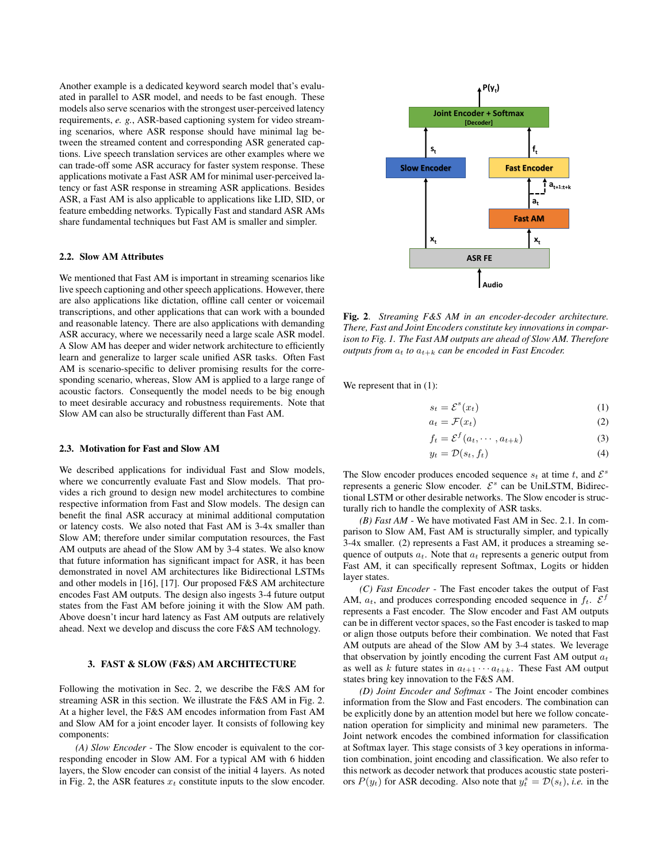Another example is a dedicated keyword search model that's evaluated in parallel to ASR model, and needs to be fast enough. These models also serve scenarios with the strongest user-perceived latency requirements, *e. g.*, ASR-based captioning system for video streaming scenarios, where ASR response should have minimal lag between the streamed content and corresponding ASR generated captions. Live speech translation services are other examples where we can trade-off some ASR accuracy for faster system response. These applications motivate a Fast ASR AM for minimal user-perceived latency or fast ASR response in streaming ASR applications. Besides ASR, a Fast AM is also applicable to applications like LID, SID, or feature embedding networks. Typically Fast and standard ASR AMs share fundamental techniques but Fast AM is smaller and simpler.

## 2.2. Slow AM Attributes

We mentioned that Fast AM is important in streaming scenarios like live speech captioning and other speech applications. However, there are also applications like dictation, offline call center or voicemail transcriptions, and other applications that can work with a bounded and reasonable latency. There are also applications with demanding ASR accuracy, where we necessarily need a large scale ASR model. A Slow AM has deeper and wider network architecture to efficiently learn and generalize to larger scale unified ASR tasks. Often Fast AM is scenario-specific to deliver promising results for the corresponding scenario, whereas, Slow AM is applied to a large range of acoustic factors. Consequently the model needs to be big enough to meet desirable accuracy and robustness requirements. Note that Slow AM can also be structurally different than Fast AM.

## 2.3. Motivation for Fast and Slow AM

We described applications for individual Fast and Slow models, where we concurrently evaluate Fast and Slow models. That provides a rich ground to design new model architectures to combine respective information from Fast and Slow models. The design can benefit the final ASR accuracy at minimal additional computation or latency costs. We also noted that Fast AM is 3-4x smaller than Slow AM; therefore under similar computation resources, the Fast AM outputs are ahead of the Slow AM by 3-4 states. We also know that future information has significant impact for ASR, it has been demonstrated in novel AM architectures like Bidirectional LSTMs and other models in [16], [17]. Our proposed F&S AM architecture encodes Fast AM outputs. The design also ingests 3-4 future output states from the Fast AM before joining it with the Slow AM path. Above doesn't incur hard latency as Fast AM outputs are relatively ahead. Next we develop and discuss the core F&S AM technology.

## 3. FAST & SLOW (F&S) AM ARCHITECTURE

Following the motivation in Sec. 2, we describe the F&S AM for streaming ASR in this section. We illustrate the F&S AM in Fig. 2. At a higher level, the F&S AM encodes information from Fast AM and Slow AM for a joint encoder layer. It consists of following key components:

*(A) Slow Encoder* - The Slow encoder is equivalent to the corresponding encoder in Slow AM. For a typical AM with 6 hidden layers, the Slow encoder can consist of the initial 4 layers. As noted in Fig. 2, the ASR features  $x_t$  constitute inputs to the slow encoder.



Fig. 2. *Streaming F&S AM in an encoder-decoder architecture. There, Fast and Joint Encoders constitute key innovations in comparison to Fig. 1. The Fast AM outputs are ahead of Slow AM. Therefore outputs from*  $a_t$  *to*  $a_{t+k}$  *can be encoded in Fast Encoder.* 

We represent that in  $(1)$ :

$$
s_t = \mathcal{E}^s(x_t) \tag{1}
$$

$$
a_t = \mathcal{F}(x_t) \tag{2}
$$

$$
f_t = \mathcal{E}^f(a_t, \cdots, a_{t+k})
$$
\n(3)

$$
y_t = \mathcal{D}(s_t, f_t) \tag{4}
$$

The Slow encoder produces encoded sequence  $s_t$  at time t, and  $\mathcal{E}^s$ represents a generic Slow encoder.  $\mathcal{E}^s$  can be UniLSTM, Bidirectional LSTM or other desirable networks. The Slow encoder is structurally rich to handle the complexity of ASR tasks.

*(B) Fast AM* - We have motivated Fast AM in Sec. 2.1. In comparison to Slow AM, Fast AM is structurally simpler, and typically 3-4x smaller. (2) represents a Fast AM, it produces a streaming sequence of outputs  $a_t$ . Note that  $a_t$  represents a generic output from Fast AM, it can specifically represent Softmax, Logits or hidden layer states.

*(C) Fast Encoder* - The Fast encoder takes the output of Fast AM,  $a_t$ , and produces corresponding encoded sequence in  $f_t$ .  $\mathcal{E}^f$ represents a Fast encoder. The Slow encoder and Fast AM outputs can be in different vector spaces, so the Fast encoder is tasked to map or align those outputs before their combination. We noted that Fast AM outputs are ahead of the Slow AM by 3-4 states. We leverage that observation by jointly encoding the current Fast AM output  $a_t$ as well as k future states in  $a_{t+1} \cdots a_{t+k}$ . These Fast AM output states bring key innovation to the F&S AM.

*(D) Joint Encoder and Softmax* - The Joint encoder combines information from the Slow and Fast encoders. The combination can be explicitly done by an attention model but here we follow concatenation operation for simplicity and minimal new parameters. The Joint network encodes the combined information for classification at Softmax layer. This stage consists of 3 key operations in information combination, joint encoding and classification. We also refer to this network as decoder network that produces acoustic state posteriors  $P(y_t)$  for ASR decoding. Also note that  $y_t^s = \mathcal{D}(s_t)$ , *i.e.* in the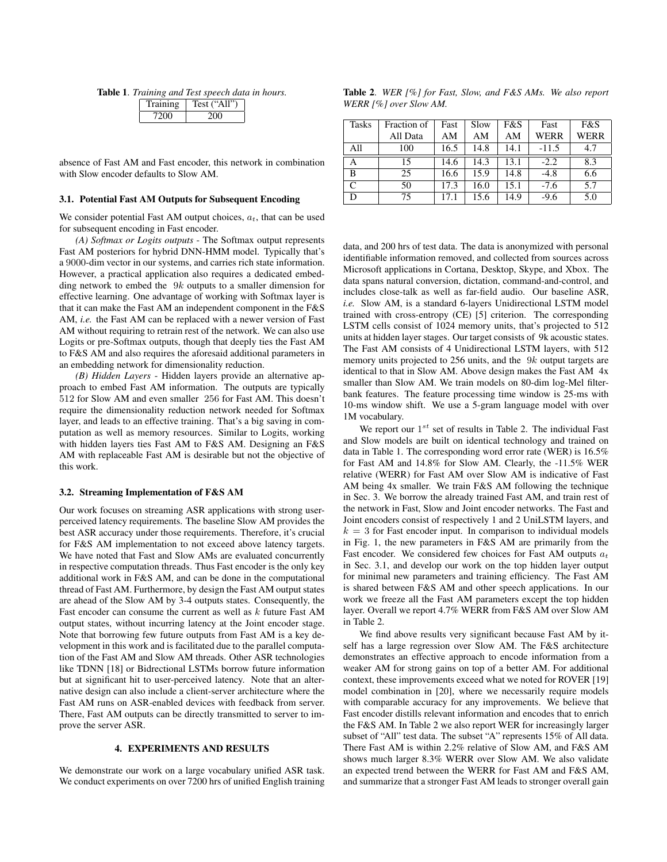Table 1. *Training and Test speech data in hours.*

| 1 raining | Test ("All" |
|-----------|-------------|
| 720O      |             |

absence of Fast AM and Fast encoder, this network in combination with Slow encoder defaults to Slow AM.

#### 3.1. Potential Fast AM Outputs for Subsequent Encoding

We consider potential Fast AM output choices,  $a_t$ , that can be used for subsequent encoding in Fast encoder.

*(A) Softmax or Logits outputs* - The Softmax output represents Fast AM posteriors for hybrid DNN-HMM model. Typically that's a 9000-dim vector in our systems, and carries rich state information. However, a practical application also requires a dedicated embedding network to embed the  $9k$  outputs to a smaller dimension for effective learning. One advantage of working with Softmax layer is that it can make the Fast AM an independent component in the F&S AM, *i.e.* the Fast AM can be replaced with a newer version of Fast AM without requiring to retrain rest of the network. We can also use Logits or pre-Softmax outputs, though that deeply ties the Fast AM to F&S AM and also requires the aforesaid additional parameters in an embedding network for dimensionality reduction.

*(B) Hidden Layers* - Hidden layers provide an alternative approach to embed Fast AM information. The outputs are typically 512 for Slow AM and even smaller 256 for Fast AM. This doesn't require the dimensionality reduction network needed for Softmax layer, and leads to an effective training. That's a big saving in computation as well as memory resources. Similar to Logits, working with hidden layers ties Fast AM to F&S AM. Designing an F&S AM with replaceable Fast AM is desirable but not the objective of this work.

#### 3.2. Streaming Implementation of F&S AM

Our work focuses on streaming ASR applications with strong userperceived latency requirements. The baseline Slow AM provides the best ASR accuracy under those requirements. Therefore, it's crucial for F&S AM implementation to not exceed above latency targets. We have noted that Fast and Slow AMs are evaluated concurrently in respective computation threads. Thus Fast encoder is the only key additional work in F&S AM, and can be done in the computational thread of Fast AM. Furthermore, by design the Fast AM output states are ahead of the Slow AM by 3-4 outputs states. Consequently, the Fast encoder can consume the current as well as  $k$  future Fast AM output states, without incurring latency at the Joint encoder stage. Note that borrowing few future outputs from Fast AM is a key development in this work and is facilitated due to the parallel computation of the Fast AM and Slow AM threads. Other ASR technologies like TDNN [18] or Bidrectional LSTMs borrow future information but at significant hit to user-perceived latency. Note that an alternative design can also include a client-server architecture where the Fast AM runs on ASR-enabled devices with feedback from server. There, Fast AM outputs can be directly transmitted to server to improve the server ASR.

### 4. EXPERIMENTS AND RESULTS

We demonstrate our work on a large vocabulary unified ASR task. We conduct experiments on over 7200 hrs of unified English training

Table 2. *WER [%] for Fast, Slow, and F&S AMs. We also report WERR [%] over Slow AM.*

| <b>Tasks</b> | Fraction of | Fast | Slow | F&S  | Fast    | F&S  |
|--------------|-------------|------|------|------|---------|------|
|              | All Data    | AM   | AM   | AM   | WERR    | WERR |
| All          | 100         | 16.5 | 14.8 | 14.1 | $-11.5$ | 4.7  |
| A            | 15          | 14.6 | 14.3 | 13.1 | $-2.2$  | 8.3  |
| B            | 25          | 16.6 | 15.9 | 14.8 | $-4.8$  | 6.6  |
| C            | 50          | 17.3 | 16.0 | 15.1 | $-7.6$  | 5.7  |
|              | 75          | 17.1 | 15.6 | 14.9 | $-9.6$  | 5.0  |

data, and 200 hrs of test data. The data is anonymized with personal identifiable information removed, and collected from sources across Microsoft applications in Cortana, Desktop, Skype, and Xbox. The data spans natural conversion, dictation, command-and-control, and includes close-talk as well as far-field audio. Our baseline ASR, *i.e.* Slow AM, is a standard 6-layers Unidirectional LSTM model trained with cross-entropy (CE) [5] criterion. The corresponding LSTM cells consist of 1024 memory units, that's projected to 512 units at hidden layer stages. Our target consists of 9k acoustic states. The Fast AM consists of 4 Unidirectional LSTM layers, with 512 memory units projected to 256 units, and the 9k output targets are identical to that in Slow AM. Above design makes the Fast AM 4x smaller than Slow AM. We train models on 80-dim log-Mel filterbank features. The feature processing time window is 25-ms with 10-ms window shift. We use a 5-gram language model with over 1M vocabulary.

We report our  $1^{st}$  set of results in Table 2. The individual Fast and Slow models are built on identical technology and trained on data in Table 1. The corresponding word error rate (WER) is 16.5% for Fast AM and 14.8% for Slow AM. Clearly, the -11.5% WER relative (WERR) for Fast AM over Slow AM is indicative of Fast AM being 4x smaller. We train F&S AM following the technique in Sec. 3. We borrow the already trained Fast AM, and train rest of the network in Fast, Slow and Joint encoder networks. The Fast and Joint encoders consist of respectively 1 and 2 UniLSTM layers, and  $k = 3$  for Fast encoder input. In comparison to individual models in Fig. 1, the new parameters in F&S AM are primarily from the Fast encoder. We considered few choices for Fast AM outputs  $a_t$ in Sec. 3.1, and develop our work on the top hidden layer output for minimal new parameters and training efficiency. The Fast AM is shared between F&S AM and other speech applications. In our work we freeze all the Fast AM parameters except the top hidden layer. Overall we report 4.7% WERR from F&S AM over Slow AM in Table 2.

We find above results very significant because Fast AM by itself has a large regression over Slow AM. The F&S architecture demonstrates an effective approach to encode information from a weaker AM for strong gains on top of a better AM. For additional context, these improvements exceed what we noted for ROVER [19] model combination in [20], where we necessarily require models with comparable accuracy for any improvements. We believe that Fast encoder distills relevant information and encodes that to enrich the F&S AM. In Table 2 we also report WER for increasingly larger subset of "All" test data. The subset "A" represents 15% of All data. There Fast AM is within 2.2% relative of Slow AM, and F&S AM shows much larger 8.3% WERR over Slow AM. We also validate an expected trend between the WERR for Fast AM and F&S AM, and summarize that a stronger Fast AM leads to stronger overall gain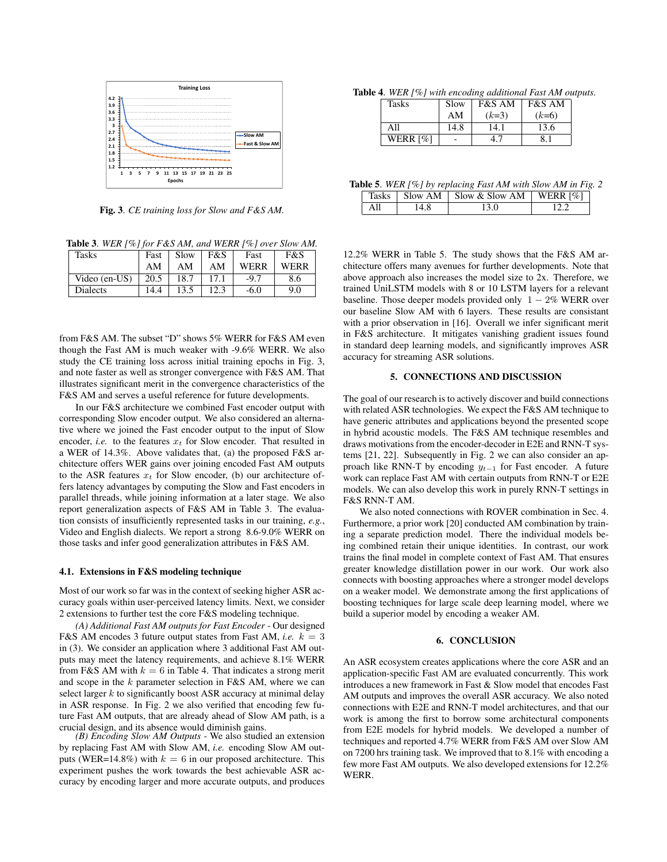

Fig. 3. *CE training loss for Slow and F&S AM.*

Table 3. *WER [%] for F&S AM, and WERR [%] over Slow AM.*

| <b>Tasks</b>    | Fast | Slow | F&S  | Fast   | F&S  |
|-----------------|------|------|------|--------|------|
|                 | AM   | ΑM   | AΜ   | WERR   | WERR |
| Video (en-US)   | 20.5 | 18.7 | 17.1 | $-9.7$ | 8.6  |
| <b>Dialects</b> | 14.4 | 13.5 | 12.3 | $-6.0$ | 9.0  |

from F&S AM. The subset "D" shows 5% WERR for F&S AM even though the Fast AM is much weaker with -9.6% WERR. We also study the CE training loss across initial training epochs in Fig. 3, and note faster as well as stronger convergence with F&S AM. That illustrates significant merit in the convergence characteristics of the F&S AM and serves a useful reference for future developments.

In our F&S architecture we combined Fast encoder output with corresponding Slow encoder output. We also considered an alternative where we joined the Fast encoder output to the input of Slow encoder, *i.e.* to the features  $x_t$  for Slow encoder. That resulted in a WER of 14.3%. Above validates that, (a) the proposed F&S architecture offers WER gains over joining encoded Fast AM outputs to the ASR features  $x_t$  for Slow encoder, (b) our architecture offers latency advantages by computing the Slow and Fast encoders in parallel threads, while joining information at a later stage. We also report generalization aspects of F&S AM in Table 3. The evaluation consists of insufficiently represented tasks in our training, *e.g.*, Video and English dialects. We report a strong 8.6-9.0% WERR on those tasks and infer good generalization attributes in F&S AM.

#### 4.1. Extensions in F&S modeling technique

Most of our work so far was in the context of seeking higher ASR accuracy goals within user-perceived latency limits. Next, we consider 2 extensions to further test the core F&S modeling technique.

*(A) Additional Fast AM outputs for Fast Encoder* - Our designed F&S AM encodes 3 future output states from Fast AM, *i.e.*  $k = 3$ in (3). We consider an application where 3 additional Fast AM outputs may meet the latency requirements, and achieve 8.1% WERR from F&S AM with  $k = 6$  in Table 4. That indicates a strong merit and scope in the  $k$  parameter selection in F&S AM, where we can select larger  $k$  to significantly boost ASR accuracy at minimal delay in ASR response. In Fig. 2 we also verified that encoding few future Fast AM outputs, that are already ahead of Slow AM path, is a crucial design, and its absence would diminish gains.

*(B) Encoding Slow AM Outputs* - We also studied an extension by replacing Fast AM with Slow AM, *i.e.* encoding Slow AM outputs (WER=14.8%) with  $k = 6$  in our proposed architecture. This experiment pushes the work towards the best achievable ASR accuracy by encoding larger and more accurate outputs, and produces

Table 4. *WER [%] with encoding additional Fast AM outputs.*

| <b>Tasks</b> | Slow | <b>F&amp;S AM</b> | <b>F&amp;S AM</b> |
|--------------|------|-------------------|-------------------|
|              | AM   | $(k=3)$           | $(k=6)$           |
| All          | 14.8 | 14.1              | 13.6              |
| WERR [%]     |      |                   |                   |

Table 5. *WER [%] by replacing Fast AM with Slow AM in Fig. 2*  $\sqrt{\frac{1}{8}}$  Slow AM  $\sqrt{\frac{1}{8}}$  Slow AM WERR  $\frac{1}{2}$ 

|  | 143N. <sup>3</sup> | U1UVY I1IVI | UUVWWUUVWIWW | $\mathbf{W}$ LIMA   $\mathbf{W}$ |  |
|--|--------------------|-------------|--------------|----------------------------------|--|
|  |                    |             |              |                                  |  |

12.2% WERR in Table 5. The study shows that the F&S AM architecture offers many avenues for further developments. Note that above approach also increases the model size to 2x. Therefore, we trained UniLSTM models with 8 or 10 LSTM layers for a relevant baseline. Those deeper models provided only  $1 - 2\%$  WERR over our baseline Slow AM with 6 layers. These results are consistant with a prior observation in [16]. Overall we infer significant merit in F&S architecture. It mitigates vanishing gradient issues found in standard deep learning models, and significantly improves ASR accuracy for streaming ASR solutions.

## 5. CONNECTIONS AND DISCUSSION

The goal of our research is to actively discover and build connections with related ASR technologies. We expect the F&S AM technique to have generic attributes and applications beyond the presented scope in hybrid acoustic models. The F&S AM technique resembles and draws motivations from the encoder-decoder in E2E and RNN-T systems [21, 22]. Subsequently in Fig. 2 we can also consider an approach like RNN-T by encoding  $y_{t-1}$  for Fast encoder. A future work can replace Fast AM with certain outputs from RNN-T or E2E models. We can also develop this work in purely RNN-T settings in F&S RNN-T AM.

We also noted connections with ROVER combination in Sec. 4. Furthermore, a prior work [20] conducted AM combination by training a separate prediction model. There the individual models being combined retain their unique identities. In contrast, our work trains the final model in complete context of Fast AM. That ensures greater knowledge distillation power in our work. Our work also connects with boosting approaches where a stronger model develops on a weaker model. We demonstrate among the first applications of boosting techniques for large scale deep learning model, where we build a superior model by encoding a weaker AM.

## 6. CONCLUSION

An ASR ecosystem creates applications where the core ASR and an application-specific Fast AM are evaluated concurrently. This work introduces a new framework in Fast & Slow model that encodes Fast AM outputs and improves the overall ASR accuracy. We also noted connections with E2E and RNN-T model architectures, and that our work is among the first to borrow some architectural components from E2E models for hybrid models. We developed a number of techniques and reported 4.7% WERR from F&S AM over Slow AM on 7200 hrs training task. We improved that to 8.1% with encoding a few more Fast AM outputs. We also developed extensions for 12.2% WERR.